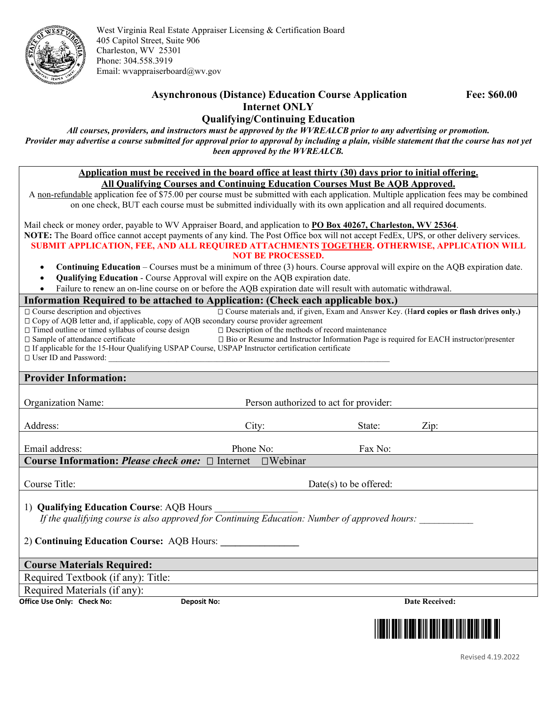

West Virginia Real Estate Appraiser Licensing & Certification Board 405 Capitol Street, Suite 906 Charleston, WV 25301 Phone: 304.558.3919 Email[: wvappraiserboard@wv.gov](mailto:wvappraiserboard@wv.gov)

## **Asynchronous (Distance) Education Course Application Fee: \$60.00 Internet ONLY**

## **Qualifying/Continuing Education**

*All courses, providers, and instructors must be approved by the WVREALCB prior to any advertising or promotion. Provider may advertise a course submitted for approval prior to approval by including a plain, visible statement that the course has not yet been approved by the WVREALCB.*

> **Application must be received in the board office at least thirty (30) days prior to initial offering. All Qualifying Courses and Continuing Education Courses Must Be AQB Approved.**

A non-refundable application fee of \$75.00 per course must be submitted with each application. Multiple application fees may be combined on one check, BUT each course must be submitted individually with its own application and all required documents.

Mail check or money order, payable to WV Appraiser Board, and application to **PO Box 40267, Charleston, WV 25364**. **NOTE:** The Board office cannot accept payments of any kind. The Post Office box will not accept FedEx, UPS, or other delivery services. **SUBMIT APPLICATION, FEE, AND ALL REQUIRED ATTACHMENTS TOGETHER. OTHERWISE, APPLICATION WILL NOT BE PROCESSED.**

- **Continuing Education** Courses must be a minimum of three (3) hours. Course approval will expire on the AQB expiration date.
- **Qualifying Education** Course Approval will expire on the AQB expiration date.
- Failure to renew an on-line course on or before the AQB expiration date will result with automatic withdrawal.

## **Information Required to be attached to Application: (Check each applicable box.)**

| ппотпіанон тедин са то юс анаснеа то террисанон, усисек сасн аррисаюте юбл.                         |                                                                                                   |                          |                       |
|-----------------------------------------------------------------------------------------------------|---------------------------------------------------------------------------------------------------|--------------------------|-----------------------|
| $\Box$ Course description and objectives                                                            | □ Course materials and, if given, Exam and Answer Key. (Hard copies or flash drives only.)        |                          |                       |
| □ Copy of AQB letter and, if applicable, copy of AQB secondary course provider agreement            |                                                                                                   |                          |                       |
| $\Box$ Timed outline or timed syllabus of course design                                             | $\square$ Description of the methods of record maintenance                                        |                          |                       |
| □ Sample of attendance certificate                                                                  | $\square$ Bio or Resume and Instructor Information Page is required for EACH instructor/presenter |                          |                       |
| □ If applicable for the 15-Hour Qualifying USPAP Course, USPAP Instructor certification certificate |                                                                                                   |                          |                       |
|                                                                                                     |                                                                                                   |                          |                       |
|                                                                                                     |                                                                                                   |                          |                       |
| <b>Provider Information:</b>                                                                        |                                                                                                   |                          |                       |
|                                                                                                     |                                                                                                   |                          |                       |
| <b>Organization Name:</b>                                                                           | Person authorized to act for provider:                                                            |                          |                       |
|                                                                                                     |                                                                                                   |                          |                       |
| Address:                                                                                            | City:                                                                                             | State:                   | Zip:                  |
|                                                                                                     |                                                                                                   |                          |                       |
| Email address:                                                                                      | Phone No:                                                                                         | Fax No:                  |                       |
| <b>Course Information: Please check one:</b> $\Box$ Internet $\Box$ Webinar                         |                                                                                                   |                          |                       |
|                                                                                                     |                                                                                                   |                          |                       |
| Course Title:                                                                                       |                                                                                                   | $Date(s)$ to be offered: |                       |
|                                                                                                     |                                                                                                   |                          |                       |
| 1) Qualifying Education Course: AQB Hours                                                           |                                                                                                   |                          |                       |
| If the qualifying course is also approved for Continuing Education: Number of approved hours:       |                                                                                                   |                          |                       |
|                                                                                                     |                                                                                                   |                          |                       |
|                                                                                                     |                                                                                                   |                          |                       |
| 2) Continuing Education Course: AQB Hours:                                                          |                                                                                                   |                          |                       |
|                                                                                                     |                                                                                                   |                          |                       |
| <b>Course Materials Required:</b>                                                                   |                                                                                                   |                          |                       |
| Required Textbook (if any): Title:                                                                  |                                                                                                   |                          |                       |
| Required Materials (if any):                                                                        |                                                                                                   |                          |                       |
| Office Use Only: Check No:<br><b>Deposit No:</b>                                                    |                                                                                                   |                          | <b>Date Received:</b> |